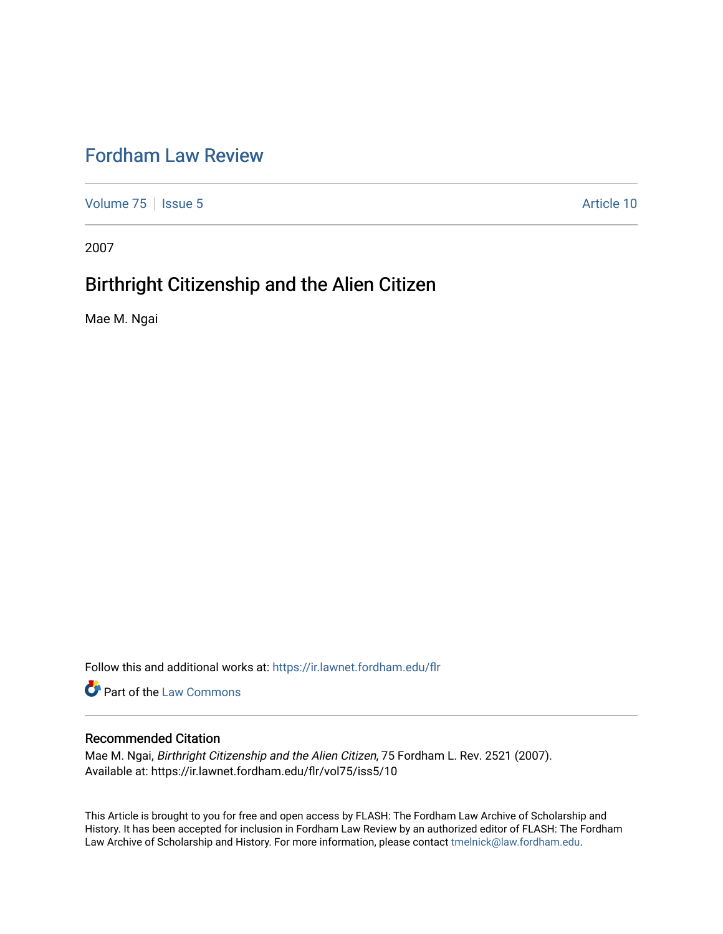# [Fordham Law Review](https://ir.lawnet.fordham.edu/flr)

[Volume 75](https://ir.lawnet.fordham.edu/flr/vol75) | [Issue 5](https://ir.lawnet.fordham.edu/flr/vol75/iss5) Article 10

2007

# Birthright Citizenship and the Alien Citizen

Mae M. Ngai

Follow this and additional works at: [https://ir.lawnet.fordham.edu/flr](https://ir.lawnet.fordham.edu/flr?utm_source=ir.lawnet.fordham.edu%2Fflr%2Fvol75%2Fiss5%2F10&utm_medium=PDF&utm_campaign=PDFCoverPages)

Part of the [Law Commons](http://network.bepress.com/hgg/discipline/578?utm_source=ir.lawnet.fordham.edu%2Fflr%2Fvol75%2Fiss5%2F10&utm_medium=PDF&utm_campaign=PDFCoverPages)

## Recommended Citation

Mae M. Ngai, Birthright Citizenship and the Alien Citizen, 75 Fordham L. Rev. 2521 (2007). Available at: https://ir.lawnet.fordham.edu/flr/vol75/iss5/10

This Article is brought to you for free and open access by FLASH: The Fordham Law Archive of Scholarship and History. It has been accepted for inclusion in Fordham Law Review by an authorized editor of FLASH: The Fordham Law Archive of Scholarship and History. For more information, please contact [tmelnick@law.fordham.edu](mailto:tmelnick@law.fordham.edu).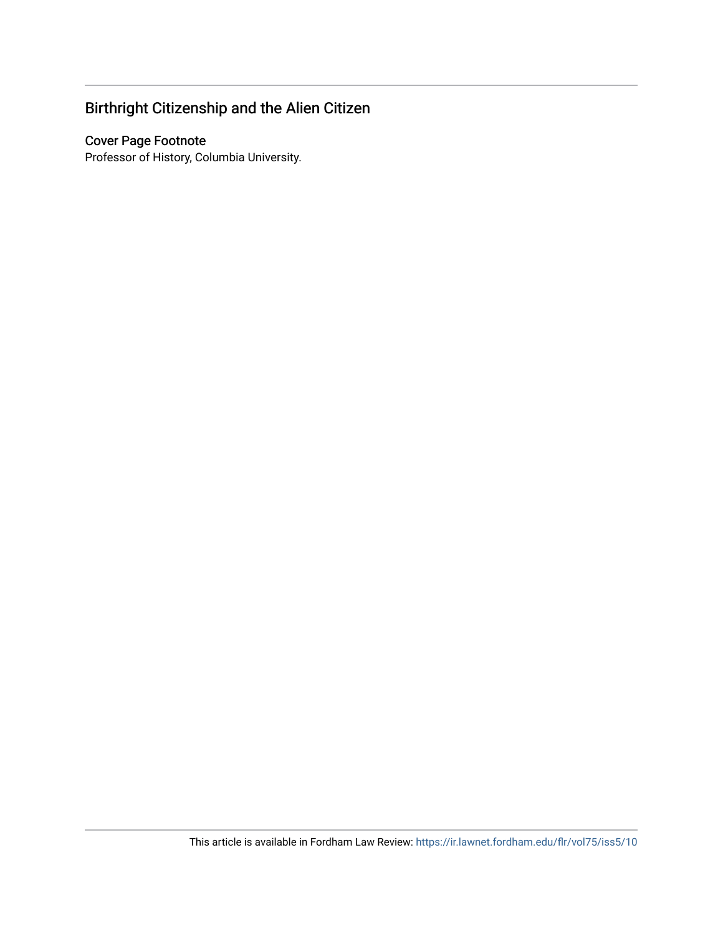# Birthright Citizenship and the Alien Citizen

## Cover Page Footnote

Professor of History, Columbia University.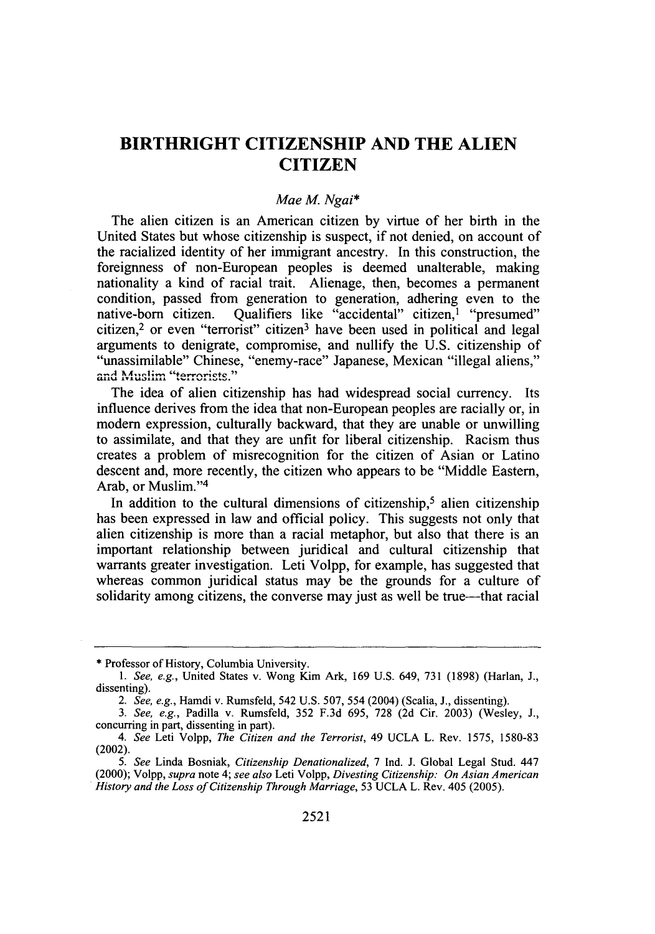## **BIRTHRIGHT CITIZENSHIP AND THE ALIEN CITIZEN**

### *Mae* **M.** *Ngai\**

The alien citizen is an American citizen **by** virtue of her birth in the United States but whose citizenship is suspect, if not denied, on account of the racialized identity of her immigrant ancestry. In this construction, the foreignness of non-European peoples is deemed unalterable, making nationality a kind of racial trait. Alienage, then, becomes a permanent condition, passed from generation to generation, adhering even to the native-born citizen. Qualifiers like "accidental" citizen,<sup>1</sup> "presumed" citizen,<sup>2</sup> or even "terrorist" citizen<sup>3</sup> have been used in political and legal arguments to denigrate, compromise, and nullify the **U.S.** citizenship of "unassimilable" Chinese, "enemy-race" Japanese, Mexican "illegal aliens," and Muslim "terrorists."

The idea of alien citizenship has had widespread social currency. Its influence derives from the idea that non-European peoples are racially or, in modern expression, culturally backward, that they are unable or unwilling to assimilate, and that they are unfit for liberal citizenship. Racism thus creates a problem of misrecognition for the citizen of Asian or Latino descent and, more recently, the citizen who appears to be "Middle Eastern, Arab, or Muslim."<sup>4</sup>

In addition to the cultural dimensions of citizenship,<sup>5</sup> alien citizenship has been expressed in law and official policy. This suggests not only that alien citizenship is more than a racial metaphor, but also that there is an important relationship between juridical and cultural citizenship that warrants greater investigation. Leti Volpp, for example, has suggested that whereas common juridical status may be the grounds for a culture of solidarity among citizens, the converse may just as well be true—that racial

**<sup>\*</sup>** Professor of History, Columbia University.

*<sup>1.</sup> See, e.g.,* United States v. Wong Kim Ark, 169 U.S. 649, **731** (1898) (Harlan, **J.,** dissenting).

*<sup>2.</sup> See, e.g.,* Hamdi v. Rumsfeld, 542 U.S. 507, 554 (2004) (Scalia, **J.,** dissenting).

*<sup>3.</sup> See, e.g.,* Padilla v. Rumsfeld, **352 F.3d** 695, **728** (2d Cir. 2003) (Wesley, **J.,** concurring in part, dissenting in part).

*<sup>4.</sup> See* Leti Volpp, *The Citizen and the Terrorist,* 49 UCLA L. Rev. 1575, 1580-83 (2002).

*<sup>5.</sup> See* Linda Bosniak, *Citizenship Denationalized,* 7 Ind. **J.** Global Legal Stud. 447 (2000); Volpp, *supra* note 4; *see also* Leti Volpp, *Divesting Citizenship: On Asian American History and the Loss of Citizenship Through Marriage,* 53 UCLA L. Rev. 405 (2005).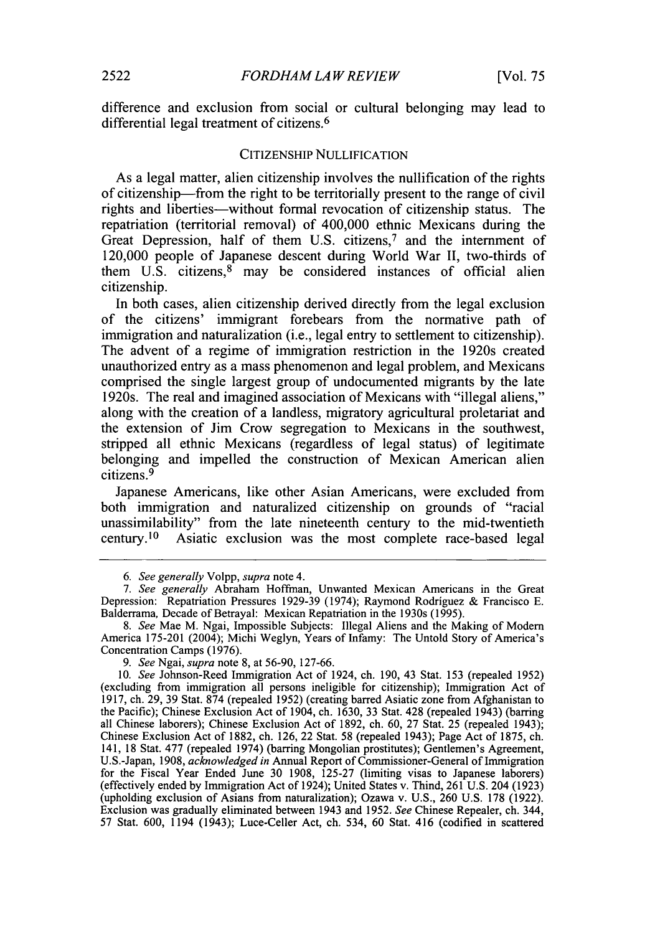difference and exclusion from social or cultural belonging may lead to differential legal treatment of citizens. <sup>6</sup>

### **CITIZENSHIP NULLIFICATION**

As a legal matter, alien citizenship involves the nullification of the rights of citizenship-from the right to be territorially present to the range of civil rights and liberties-without formal revocation of citizenship status. The repatriation (territorial removal) of 400,000 ethnic Mexicans during the Great Depression, half of them U.S. citizens,<sup>7</sup> and the internment of 120,000 people of Japanese descent during World War **II,** two-thirds of them U.S. citizens,<sup>8</sup> may be considered instances of official alien citizenship.

In both cases, alien citizenship derived directly from the legal exclusion of the citizens' immigrant forebears from the normative path of immigration and naturalization (i.e., legal entry to settlement to citizenship). The advent of a regime of immigration restriction in the 1920s created unauthorized entry as a mass phenomenon and legal problem, and Mexicans comprised the single largest group of undocumented migrants **by** the late 1920s. The real and imagined association of Mexicans with "illegal aliens," along with the creation of a landless, migratory agricultural proletariat and the extension of Jim Crow segregation to Mexicans in the southwest, stripped all ethnic Mexicans (regardless of legal status) of legitimate belonging and impelled the construction of Mexican American alien citizens. <sup>9</sup>

Japanese Americans, like other Asian Americans, were excluded from both immigration and naturalized citizenship on grounds of "racial unassimilability" from the late nineteenth century to the mid-twentieth century.<sup>10</sup> Asiatic exclusion was the most complete race-based legal

*<sup>6.</sup> See generally* Volpp, *supra* note 4.

*<sup>7.</sup> See generally* Abraham Hoffman, Unwanted Mexican Americans in the Great Depression: Repatriation Pressures **1929-39** (1974); Raymond Rodriguez **&** Francisco **E.** Balderrama, Decade of Betrayal: Mexican Repatriation in the 1930s **(1995).**

*<sup>8.</sup> See* Mae M. Ngai, Impossible Subjects: Illegal Aliens and the Making of Modem America **175-201** (2004); Michi Weglyn, Years of Infamy: The Untold Story of America's Concentration Camps **(1976).**

*<sup>9.</sup> See* Ngai, *supra* note **8,** at **56-90, 127-66.**

**<sup>10.</sup>** *See* Johnson-Reed Immigration Act of 1924, ch. **190,** 43 Stat. **153** (repealed **1952)** (excluding from immigration all persons ineligible for citizenship); Immigration Act of **1917,** ch. **29, 39** Stat. **874** (repealed **1952)** (creating barred Asiatic zone from Afghanistan to the Pacific); Chinese Exclusion Act of 1904, ch. **1630, 33** Stat. 428 (repealed 1943) (barring all Chinese laborers); Chinese Exclusion Act of **1892,** ch. **60, 27** Stat. **25** (repealed 1943); Chinese Exclusion Act of **1882,** ch. **126,** 22 Stat. **58** (repealed 1943); Page Act of **1875,** ch. 141, **18** Stat. **477** (repealed 1974) (barring Mongolian prostitutes); Gentlemen's Agreement, U.S.-Japan, **1908,** *acknowledged in* Annual Report of Commissioner-General of Immigration for the Fiscal Year Ended June **30 1908, 125-27** (limiting visas to Japanese laborers) (effectively ended **by** Immigration Act of 1924); United States v. Thind, **261 U.S.** 204 **(1923)** (upholding exclusion of Asians from naturalization); Ozawa v. **U.S., 260 U.S. 178 (1922).** Exclusion was gradually eliminated between 1943 and **1952.** *See* Chinese Repealer, ch. 344, **57** Stat. **600,** 1194 (1943); Luce-Celler Act, ch. 534, **60** Stat. 416 (codified in scattered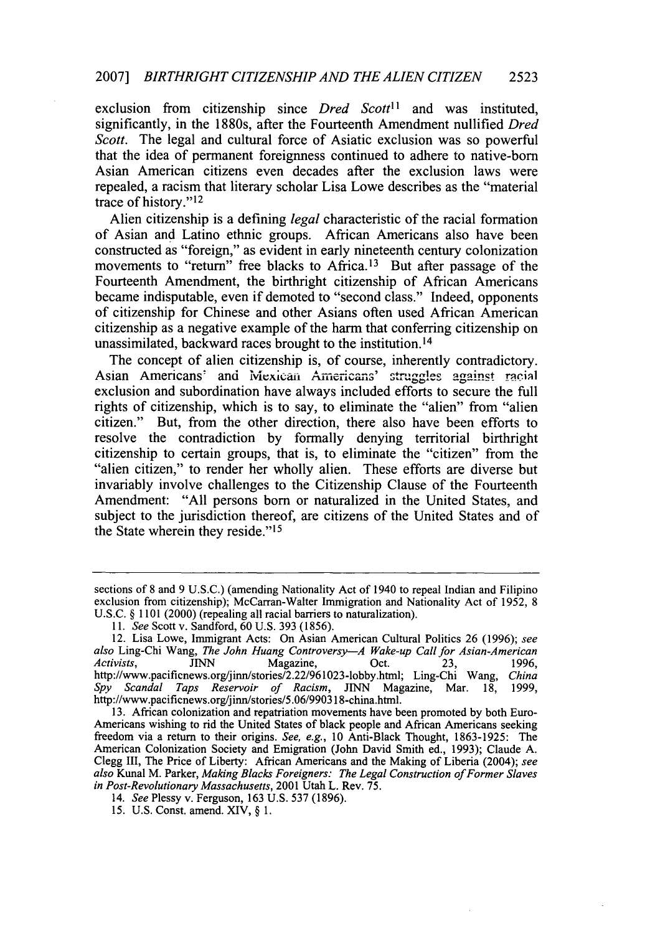#### 2007] *BIRTHRIGHT CITIZENSHIP AND THE ALIEN CITIZEN* **2523**

exclusion from citizenship since *Dred Scott*<sup>11</sup> and was instituted, significantly, in the 1880s, after the Fourteenth Amendment nullified *Dred Scott.* The legal and cultural force of Asiatic exclusion was so powerful that the idea of permanent foreignness continued to adhere to native-born Asian American citizens even decades after the exclusion laws were repealed, a racism that literary scholar Lisa Lowe describes as the "material trace of history."12

Alien citizenship is a defining *legal* characteristic of the racial formation of Asian and Latino ethnic groups. African Americans also have been constructed as "foreign," as evident in early nineteenth century colonization movements to "return" free blacks to Africa.<sup>13</sup> But after passage of the Fourteenth Amendment, the birthright citizenship of African Americans became indisputable, even if demoted to "second class." Indeed, opponents of citizenship for Chinese and other Asians often used African American citizenship as a negative example of the harm that conferring citizenship on unassimilated, backward races brought to the institution. <sup>14</sup>

The concept of alien citizenship is, of course, inherently contradictory. Asian Americans' and Mexican Americans' struggles against racial exclusion and subordination have always included efforts to secure the full rights of citizenship, which is to say, to eliminate the "alien" from "alien citizen." But, from the other direction, there also have been efforts to resolve the contradiction by formally denying territorial birthright citizenship to certain groups, that is, to eliminate the "citizen" from the "alien citizen," to render her wholly alien. These efforts are diverse but invariably involve challenges to the Citizenship Clause of the Fourteenth Amendment: "All persons born or naturalized in the United States, and subject to the jurisdiction thereof, are citizens of the United States and of the State wherein they reside."<sup>15</sup>

sections of 8 and 9 U.S.C.) (amending Nationality Act of 1940 to repeal Indian and Filipino exclusion from citizenship); McCarran-Walter Immigration and Nationality Act of 1952, 8 U.S.C. § 1101 (2000) (repealing all racial barriers to naturalization).

*<sup>11.</sup> See* Scott v. Sandford, 60 U.S. 393 (1856). 12. Lisa Lowe, Immigrant Acts: On Asian American Cultural Politics 26 (1996); *see also* Ling-Chi Wang, *The John Huang Controversy-A Wake-up Call for Asian-American Activists,* JINN Magazine, Oct. 23, 1996, http://www.pacificnews.org/jinn/stories/2.22/961023-lobby.html; Ling-Chi Wang, *China Spy Scandal Taps Reservoir of Racism,* JINN Magazine, Mar. 18, 1999, http://www.pacificnews.org/jinn/stories/5.06/990318-china.html.

<sup>13.</sup> African colonization and repatriation movements have been promoted by both Euro-Americans wishing to rid the United States of black people and African Americans seeking freedom via a return to their origins. *See, e.g.,* 10 Anti-Black Thought, 1863-1925: The American Colonization Society and Emigration (John David Smith ed., 1993); Claude A. Clegg III, The Price of Liberty: African Americans and the Making of Liberia (2004); *see also* Kunal M. Parker, *Making Blacks Foreigners: The Legal Construction of Former Slaves in Post-Revolutionary Massachusetts,* 2001 Utah L. Rev. 75.

<sup>14.</sup> *See* Plessy v. Ferguson, 163 U.S. 537 (1896).

<sup>15.</sup> U.S. Const. amend. XIV, § 1.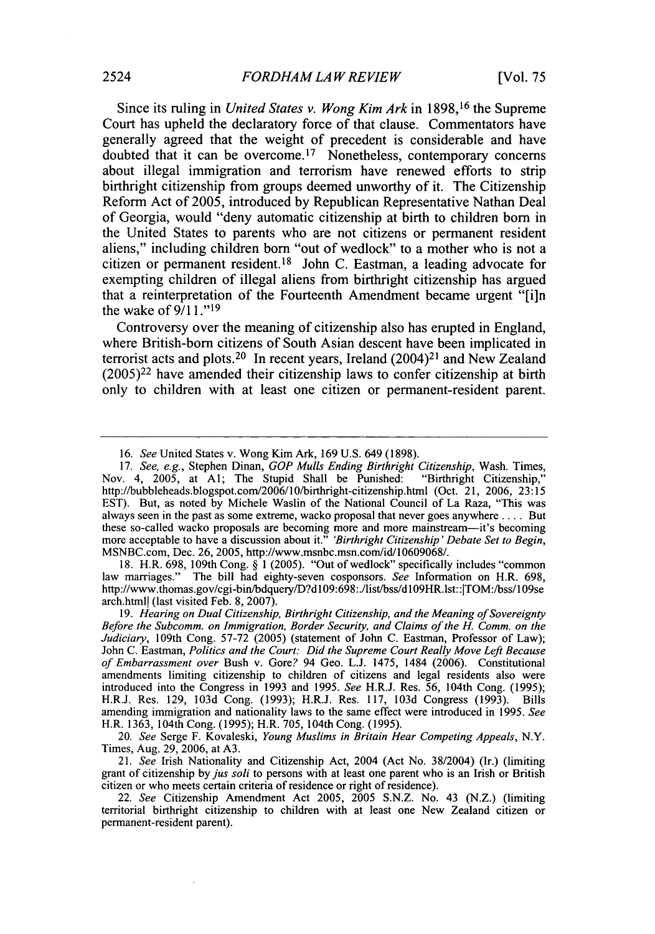Since its ruling in *United States v. Wong Kim Ark* in 1898,16 the Supreme Court has upheld the declaratory force of that clause. Commentators have generally agreed that the weight of precedent is considerable and have doubted that it can be overcome.17 Nonetheless, contemporary concerns about illegal immigration and terrorism have renewed efforts to strip birthright citizenship from groups deemed unworthy of it. The Citizenship Reform Act of 2005, introduced by Republican Representative Nathan Deal of Georgia, would "deny automatic citizenship at birth to children born in the United States to parents who are not citizens or permanent resident aliens," including children born "out of wedlock" to a mother who is not a citizen or permanent resident. 18 John C. Eastman, a leading advocate for exempting children of illegal aliens from birthright citizenship has argued that a reinterpretation of the Fourteenth Amendment became urgent "[i]n the wake of 9/1 **."19**

Controversy over the meaning of citizenship also has erupted in England, where British-born citizens of South Asian descent have been implicated in terrorist acts and plots.<sup>20</sup> In recent years, Ireland  $(2004)^{21}$  and New Zealand  $(2005)^{22}$  have amended their citizenship laws to confer citizenship at birth only to children with at least one citizen or permanent-resident parent.

18. H.R. 698, 109th Cong. § 1 (2005). "Out of wedlock" specifically includes "common law marriages." The bill had eighty-seven cosponsors. *See* Information on H.R. 698, http://www.thomas.gov/cgi-bin/bdquery/D?d109:698:./list/bss/d109HR.lst::|TOM:/bss/109se arch.htmll (last visited Feb. 8, 2007).

<sup>16.</sup> *See* United States v. Wong Kim Ark, 169 U.S. 649 (1898).

<sup>17.</sup> *See, e.g.,* Stephen Dinan, *GOP Mulls Ending Birthright Citizenship,* Wash. Times, Nov. 4, 2005, at Al; The Stupid Shall be Punished: http://bubbleheads.blogspot.com/2006/10/birthright-citizenship.html (Oct. 21, 2006, 23:15 EST). But, as noted by Michele Waslin of the National Council of La Raza, "This was always seen in the past as some extreme, wacko proposal that never goes anywhere .... But these so-called wacko proposals are becoming more and more mainstream-it's becoming more acceptable to have a discussion about it." *'Birthright Citizenship' Debate Set to Begin,* MSNBC.com, Dec. 26, 2005, http://www.msnbc.msn.com/id/10609068/.

<sup>19.</sup> *Hearing on Dual Citizenship, Birthright Citizenship, and the Meaning of Sovereignty Before the Subcomm. on Immigration, Border Security, and Claims of the* H. *Comm. on the Judiciary,* 109th Cong. 57-72 (2005) (statement of John C. Eastman, Professor of Law); John C. Eastman, *Politics and the Court: Did the Supreme Court Really Move Left Because of Embarrassment over* Bush v. Gore? 94 Geo. L.J. 1475, 1484 (2006). Constitutional introduced into the Congress in 1993 and 1995. *See* H.R.J. Res. 56, 104th Cong. (1995); H.R.J. Res. 129, 103d Cong. (1993); H.R.J. Res. 117, 103d Congress (1993). Bills amending immigration and nationality laws to the same effect were introduced in 1995. *See* H.R. 1363, 104th Cong. (1995); H.R. 705, 104th Cong. (1995).

<sup>20.</sup> *See* Serge F. Kovaleski, *Young Muslims in Britain Hear Competing Appeals,* N.Y. Times, Aug. 29, 2006, at A3.

<sup>21.</sup> *See* Irish Nationality and Citizenship Act, 2004 (Act No. 38/2004) (Ir.) (limiting grant of citizenship by *jus soli* to persons with at least one parent who is an Irish or British citizen or who meets certain criteria of residence or right of residence).

<sup>22.</sup> *See* Citizenship Amendment Act 2005, 2005 S.N.Z. No. 43 (N.Z.) (limiting territorial birthright citizenship to children with at least one New Zealand citizen or permanent-resident parent).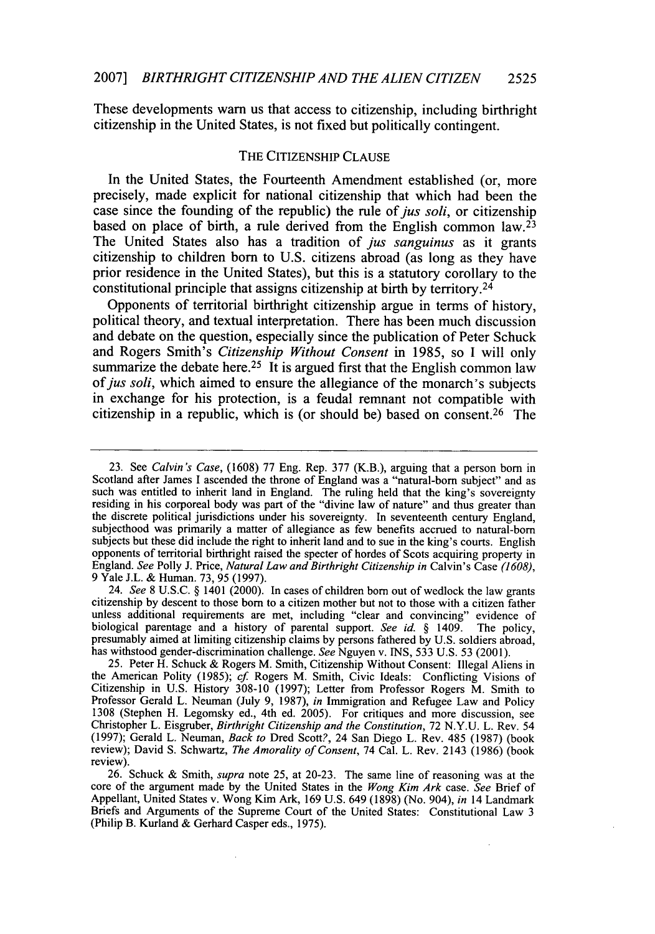These developments warn us that access to citizenship, including birthright citizenship in the United States, is not fixed but politically contingent.

### THE CITIZENSHIP CLAUSE

In the United States, the Fourteenth Amendment established (or, more precisely, made explicit for national citizenship that which had been the case since the founding of the republic) the rule of *jus soli,* or citizenship based on place of birth, a rule derived from the English common law.<sup>23</sup> The United States also has a tradition of *jus sanguinus* as it grants citizenship to children born to U.S. citizens abroad (as long as they have prior residence in the United States), but this is a statutory corollary to the constitutional principle that assigns citizenship at birth by territory.<sup>24</sup>

Opponents of territorial birthright citizenship argue in terms of history, political theory, and textual interpretation. There has been much discussion and debate on the question, especially since the publication of Peter Schuck and Rogers Smith's *Citizenship Without Consent* in 1985, so I will only summarize the debate here.<sup>25</sup> It is argued first that the English common law of *jus soli*, which aimed to ensure the allegiance of the monarch's subjects in exchange for his protection, is a feudal remnant not compatible with citizenship in a republic, which is (or should be) based on consent.<sup>26</sup> The

24. *See* 8 U.S.C. § 1401 (2000). In cases of children born out of wedlock the law grants citizenship by descent to those born to a citizen mother but not to those with a citizen father unless additional requirements are met, including "clear and convincing" evidence of biological parentage and a history of parental support. *See id. §* 1409. The policy, presumably aimed at limiting citizenship claims by persons fathered by U.S. soldiers abroad, presumably aimed at limiting citizenship claims by persons fathered by U.S. soldiers abroad, has withstood gender-discrimination challenge. *See* Nguyen v. INS, 533 U.S. 53 (2001).

<sup>23.</sup> See *Calvin's Case,* (1608) 77 Eng. Rep. 377 (K.B.), arguing that a person born in such was entitled to inherit land in England. The ruling held that the king's sovereignty residing in his corporeal body was part of the "divine law of nature" and thus greater than the discrete political jurisdictions under his sovereignty. In seventeenth century England, subjecthood was primarily a matter of allegiance as few benefits accrued to natural-born subjects but these did include the right to inherit land and to sue in the king's courts. English opponents of territorial birthright raised the specter of hordes of Scots acquiring property in England. *See* Polly J. Price, *Natural Law and Birthright Citizenship in* Calvin's Case *(1608),* 9 Yale J.L. & Human. 73, 95 (1997).

<sup>25.</sup> Peter H. Schuck & Rogers M. Smith, Citizenship Without Consent: Illegal Aliens in the American Polity (1985); *cf.* Rogers M. Smith, Civic Ideals: Conflicting Visions of Citizenship in U.S. History 308-10 (1997); Letter from Professor Rogers M. Smith to Professor Gerald L. Neuman (July 9, 1987), in Immigration and Refugee Law and Policy 1308 (Stephen H. Legomsky ed., 4th ed. 2005). For critiques and more discussion, see Christopher L. Eisgruber, *Birthright Citizenship an* (1997); Gerald L. Neuman, *Back to* Dred Scott?, 24 San Diego L. Rev. 485 (1987) (book review); David S. Schwartz, *The Amorality of Consent,* 74 Cal. L. Rev. 2143 (1986) (book review).

<sup>26.</sup> Schuck & Smith, *supra* note 25, at 20-23. The same line of reasoning was at the core of the argument made by the United States in the *Wong Kim Ark* case. *See* Brief of Appellant, United States v. Wong Kim Ark, 169 U.S. 649 (1898) (No. 904), *in* 14 Landmark Briefs and Arguments of the Supreme Court of the United States: Constitutional Law 3 (Philip B. Kurland & Gerhard Casper eds., 1975).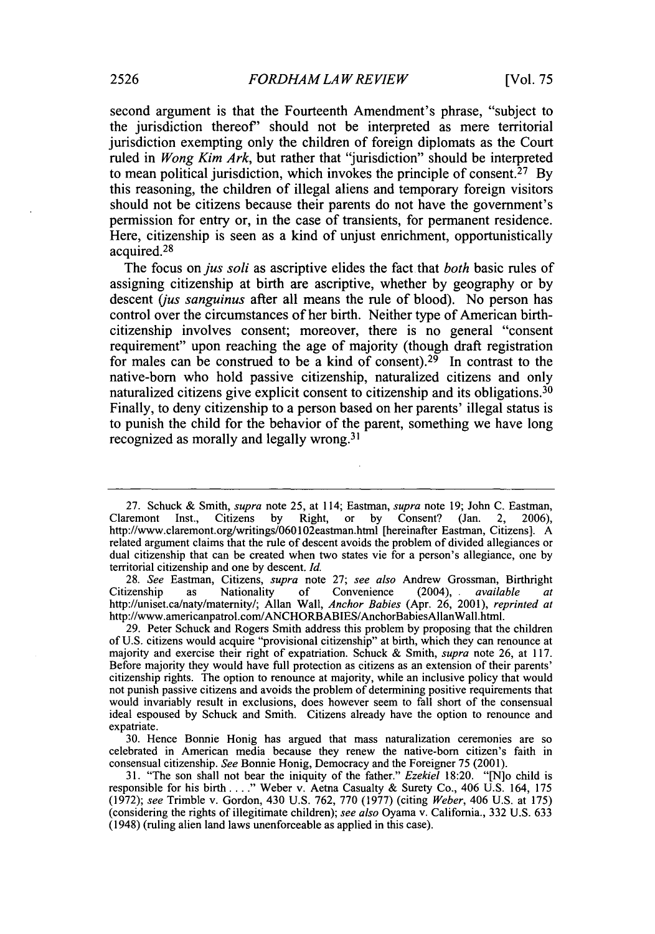second argument is that the Fourteenth Amendment's phrase, "subject to the jurisdiction thereof' should not be interpreted as mere territorial jurisdiction exempting only the children of foreign diplomats as the Court ruled in *Wong Kim Ark,* but rather that "jurisdiction" should be interpreted to mean political jurisdiction, which invokes the principle of consent.<sup>27</sup> By this reasoning, the children of illegal aliens and temporary foreign visitors should not be citizens because their parents do not have the government's permission for entry or, in the case of transients, for permanent residence. Here, citizenship is seen as a kind of unjust enrichment, opportunistically acquired. <sup>28</sup>

The focus *onjus soli* as ascriptive elides the fact that *both* basic rules of assigning citizenship at birth are ascriptive, whether by geography or by descent *(jus sanguinus* after all means the rule of blood). No person has control over the circumstances of her birth. Neither type of American birthcitizenship involves consent; moreover, there is no general "consent requirement" upon reaching the age of majority (though draft registration for males can be construed to be a kind of consent).<sup>29</sup> In contrast to the native-born who hold passive citizenship, naturalized citizens and only naturalized citizens give explicit consent to citizenship and its obligations.<sup>30</sup> Finally, to deny citizenship to a person based on her parents' illegal status is to punish the child for the behavior of the parent, something we have long recognized as morally and legally wrong.<sup>31</sup>

28. *See* Eastman, Citizens, *supra* note 27; *see also* Andrew Grossman, Birthright Citizenship as Nationality of Convenience (2004), available at http://uniset.ca/naty/matemity/; Allan Wall, *Anchor Babies* (Apr. 26, 2001), *reprinted at* http://www.americanpatrol.com/ANCHORBABIES/AnchorBabiesAllanWall.html.

29. Peter Schuck and Rogers Smith address this problem by proposing that the children of U.S. citizens would acquire "provisional citizenship" at birth, which they can renounce at majority and exercise their right of expatriation. Schuck & Smith, *supra* note 26, at 117. Before majority they would have full protection as citizens as an extension of their parents' citizenship rights. The option to renounce at majority, while an inclusive policy that would not punish passive citizens and avoids the problem of determining positive requirements that would invariably result in exclusions, does however seem to fall short of the consensual ideal espoused by Schuck and Smith. Citizens already have the option to renounce and expatriate.

30. Hence Bonnie Honig has argued that mass naturalization ceremonies are so celebrated in American media because they renew the native-born citizen's faith in consensual citizenship. *See* Bonnie Honig, Democracy and the Foreigner 75 (2001).

31. "The son shall not bear the iniquity of the father." *Ezekiel* 18:20. "[N]o child is responsible for his birth **.. "** Weber v. Aetna Casualty & Surety Co., 406 U.S. 164, 175 (1972); *see* Trimble v. Gordon, 430 U.S. 762, 770 (1977) (citing *Weber,* 406 U.S. at 175) (considering the rights of illegitimate children); *see also* Oyama v. California., 332 U.S. 633 (1948) (ruling alien land laws unenforceable as applied in this case).

<sup>27.</sup> Schuck & Smith, *supra* note 25, at 114; Eastman, *supra* note 19; John C. Eastman, Claremont Inst., Citizens by Right, or by Consent? (Jan. 2, 2006), http://www.claremont.org/writings/060102eastman.html [hereinafter Eastman, Citizens]. A related argument claims that the rule of descent avoids the problem of divided allegiances or dual citizenship that can be created when two states vie for a person's allegiance, one by territorial citizenship and one by descent. *Id.*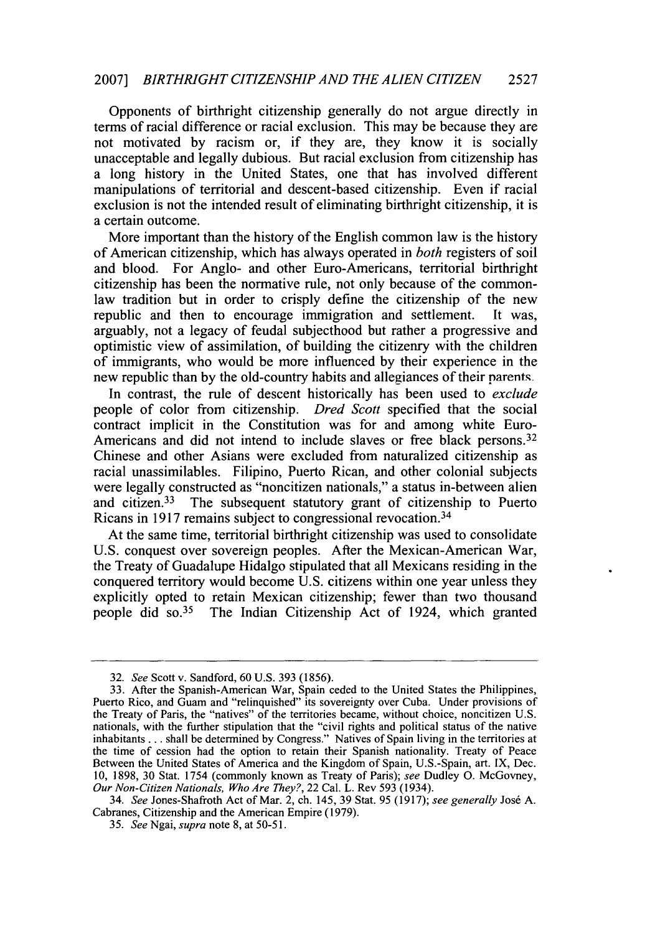#### 2007] *BIRTHRIGHT CITIZENSHIP AND THE ALIEN CITIZEN* **2527**

Opponents of birthright citizenship generally do not argue directly in terms of racial difference or racial exclusion. This may be because they are not motivated by racism or, if they are, they know it is socially unacceptable and legally dubious. But racial exclusion from citizenship has a long history in the United States, one that has involved different manipulations of territorial and descent-based citizenship. Even if racial exclusion is not the intended result of eliminating birthright citizenship, it is a certain outcome.

More important than the history of the English common law is the history of American citizenship, which has always operated in *both* registers of soil and blood. For Anglo- and other Euro-Americans, territorial birthright citizenship has been the normative rule, not only because of the commonlaw tradition but in order to crisply define the citizenship of the new republic and then to encourage immigration and settlement. It was, arguably, not a legacy of feudal subjecthood but rather a progressive and optimistic view of assimilation, of building the citizenry with the children of immigrants, who would be more influenced by their experience in the new republic than by the old-country habits and allegiances of their parents-

In contrast, the rule of descent historically has been used to *exclude* people of color from citizenship. *Dred Scott* specified that the social contract implicit in the Constitution was for and among white Euro-Americans and did not intend to include slaves or free black persons.<sup>32</sup> Chinese and other Asians were excluded from naturalized citizenship as racial unassimilables. Filipino, Puerto Rican, and other colonial subjects were legally constructed as "noncitizen nationals," a status in-between alien and citizen.33 The subsequent statutory grant of citizenship to Puerto Ricans in 1917 remains subject to congressional revocation. <sup>34</sup>

At the same time, territorial birthright citizenship was used to consolidate U.S. conquest over sovereign peoples. After the Mexican-American War, the Treaty of Guadalupe Hidalgo stipulated that all Mexicans residing in the conquered territory would become U.S. citizens within one year unless they explicitly opted to retain Mexican citizenship; fewer than two thousand people did so.<sup>35</sup> The Indian Citizenship Act of 1924, which granted

<sup>32.</sup> *See* Scott v. Sandford, 60 U.S. 393 (1856).

<sup>33.</sup> After the Spanish-American War, Spain ceded to the United States the Philippines, Puerto Rico, and Guam and "relinquished" its sovereignty over Cuba. Under provisions of the Treaty of Paris, the "natives" of the territories became, without choice, noncitizen U.S. nationals, with the further stipulation that the "civil rights and political status of the native inhabitants... shall be determined by Congress." Natives of Spain living in the territories at the time of cession had the option to retain their Spanish nationality. Treaty of Peace Between the United States of America and the Kingdom of Spain, U.S.-Spain, art. IX, Dec. 10, 1898, 30 Stat. 1754 (commonly known as Treaty of Paris); *see* Dudley **0.** McGovney, *Our Non-Citizen Nationals, Who Are They?,* 22 Cal. L. Rev 593 (1934).

<sup>34.</sup> *See* Jones-Shafroth Act of Mar. 2, ch. 145, 39 Stat. 95 (1917); *see generally* Jos6 A. Cabranes, Citizenship and the American Empire (1979).

<sup>35.</sup> *See* Ngai, *supra* note 8, at 50-51.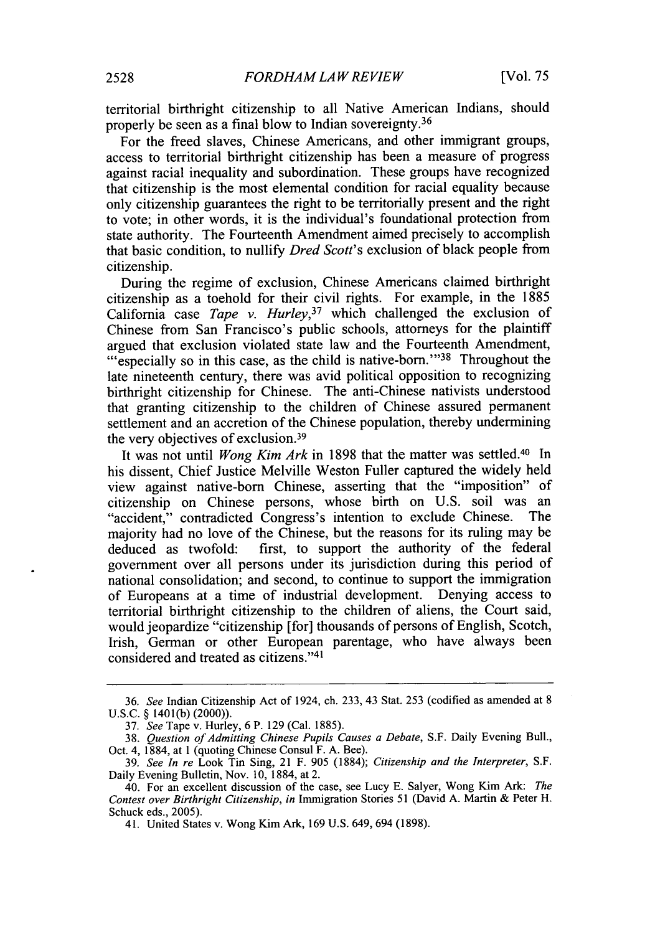territorial birthright citizenship to all Native American Indians, should properly be seen as a final blow to Indian sovereignty. <sup>36</sup>

For the freed slaves, Chinese Americans, and other immigrant groups, access to territorial birthright citizenship has been a measure of progress against racial inequality and subordination. These groups have recognized that citizenship is the most elemental condition for racial equality because only citizenship guarantees the right to be territorially present and the right to vote; in other words, it is the individual's foundational protection from state authority. The Fourteenth Amendment aimed precisely to accomplish that basic condition, to nullify *Dred Scott's* exclusion of black people from citizenship.

During the regime of exclusion, Chinese Americans claimed birthright citizenship as a toehold for their civil rights. For example, in the 1885 California case *Tape v. Hurley,37* which challenged the exclusion of Chinese from San Francisco's public schools, attorneys for the plaintiff "especially so in this case, as the child is native-born."<sup>38</sup> Throughout the late nineteenth century, there was avid political opposition to recognizing birthright citizenship for Chinese. The anti-Chinese nativists understood that granting citizenship to the children of Chinese assured permanent settlement and an accretion of the Chinese population, thereby undermining the very objectives of exclusion. <sup>39</sup>

It was not until *Wong Kim Ark* in 1898 that the matter was settled.40 In his dissent, Chief Justice Melville Weston Fuller captured the widely held view against native-born Chinese, asserting that the "imposition" of citizenship on Chinese persons, whose birth on U.S. soil was an "accident," contradicted Congress's intention to exclude Chinese. majority had no love of the Chinese, but the reasons for its ruling may be deduced as twofold: first, to support the authority of the federal government over all persons under its jurisdiction during this period of national consolidation; and second, to continue to support the immigration of Europeans at a time of industrial development. Denying access to territorial birthright citizenship to the children of aliens, the Court said, would jeopardize "citizenship [for] thousands of persons of English, Scotch, Irish, German or other European parentage, who have always been considered and treated as citizens."<sup>41</sup>

<sup>36.</sup> *See* Indian Citizenship Act of 1924, ch. 233, 43 Stat. 253 (codified as amended at 8 U.S.C. § 1401(b) (2000)).

<sup>37.</sup> *See* Tape v. Hurley, 6 P. 129 (Cal. 1885).

<sup>38.</sup> *Question of Admitting Chinese Pupils Causes a Debate,* S.F. Daily Evening Bull., Oct. 4, 1884, at 1 (quoting Chinese Consul F. A. Bee).

<sup>39.</sup> *See In re* Look Tin Sing, 21 F. 905 (1884); *Citizenship and the Interpreter,* S.F. Daily Evening Bulletin, Nov. 10, 1884, at 2.

<sup>40.</sup> For an excellent discussion of the case, see Lucy E. Salyer, Wong Kim Ark: *The Contest over Birthright Citizenship, in* Immigration Stories 51 (David A. Martin & Peter H. Schuck eds., 2005).

<sup>41.</sup> United States v. Wong Kim Ark, 169 U.S. 649, 694 (1898).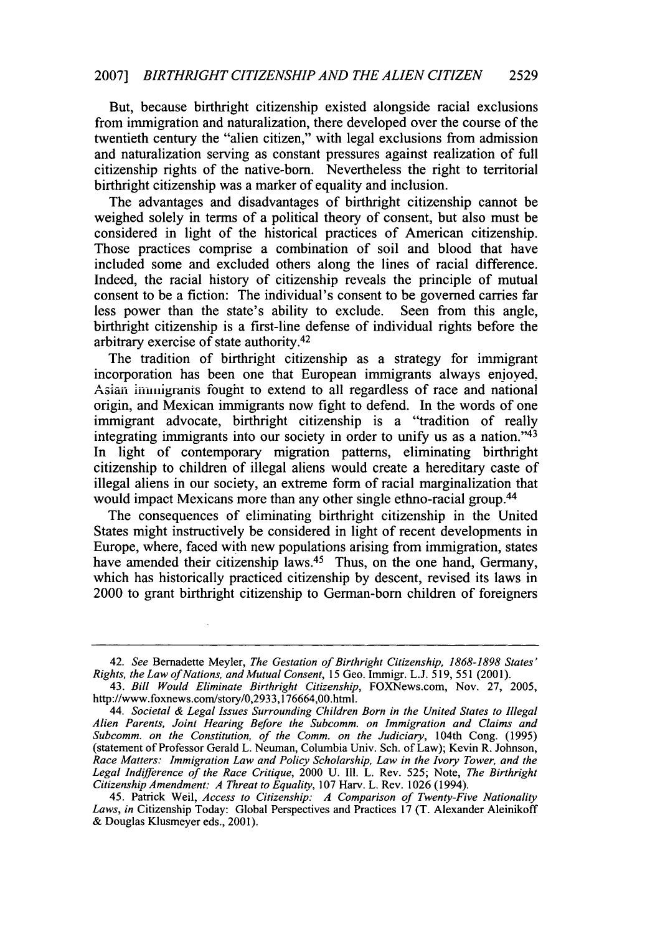#### 2007] *BIRTHRIGHT CITIZENSHIP AND THE ALIEN CITIZEN* **2529**

But, because birthright citizenship existed alongside racial exclusions from immigration and naturalization, there developed over the course of the twentieth century the "alien citizen," with legal exclusions from admission and naturalization serving as constant pressures against realization of full citizenship rights of the native-born. Nevertheless the right to territorial birthright citizenship was a marker of equality and inclusion.

The advantages and disadvantages of birthright citizenship cannot be weighed solely in terms of a political theory of consent, but also must be considered in light of the historical practices of American citizenship. Those practices comprise a combination of soil and blood that have included some and excluded others along the lines of racial difference. Indeed, the racial history of citizenship reveals the principle of mutual consent to be a fiction: The individual's consent to be governed carries far less power than the state's ability to exclude. Seen from this angle, birthright citizenship is a first-line defense of individual rights before the arbitrary exercise of state authority.<sup>42</sup>

The tradition of birthright citizenship as a strategy for immigrant incorporation has been one that European immigrants always enjoyed. Asian iiiunigrants fought to extend to all regardless of race and national origin, and Mexican immigrants now fight to defend. In the words of one immigrant advocate, birthright citizenship is a "tradition of really integrating immigrants into our society in order to unify us as a nation."<sup>43</sup> In light of contemporary migration patterns, eliminating birthright citizenship to children of illegal aliens would create a hereditary caste of illegal aliens in our society, an extreme form of racial marginalization that would impact Mexicans more than any other single ethno-racial group.<sup>44</sup>

The consequences of eliminating birthright citizenship in the United States might instructively be considered in light of recent developments in Europe, where, faced with new populations arising from immigration, states have amended their citizenship laws.<sup>45</sup> Thus, on the one hand, Germany, which has historically practiced citizenship by descent, revised its laws in 2000 to grant birthright citizenship to German-born children of foreigners

<sup>42.</sup> *See* Bernadette Meyler, *The Gestation of Birthright Citizenship, 1868-1898 States' Rights, the Law of Nations, and Mutual Consent,* 15 Geo. Immigr. L.J. 519, 551 (2001).

<sup>43.</sup> *Bill Would Eliminate Birthright Citizenship,* FOXNews.com, Nov. 27, 2005, http://www.foxnews.com/story/0,2933,176664,00.html.

*<sup>44.</sup> Societal & Legal Issues Surrounding Children Born in the United States to illegal Alien Parents, Joint Hearing Before the Subcomm. on Immigration and Claims and Subcomm. on the Constitution, of the Comm. on the Judiciary,* 104th Cong. (1995) (statement of Professor Gerald L. Neuman, Columbia Univ. Sch. of Law); Kevin R. Johnson, *Race Matters: Immigration Law and Policy Scholarship, Law in the Ivory Tower, and the Legal Indifference of the Race Critique,* 2000 U. Ill. L. Rev. 525; Note, *The Birthright Citizenship Amendment: A Threat to Equality,* 107 Harv. L. Rev. 1026 (1994).

<sup>45.</sup> Patrick Weil, *Access to Citizenship: A Comparison of Twenty-Five Nationality Laws, in* Citizenship Today: Global Perspectives and Practices 17 (T. Alexander Aleinikoff & Douglas Klusmeyer eds., 2001).